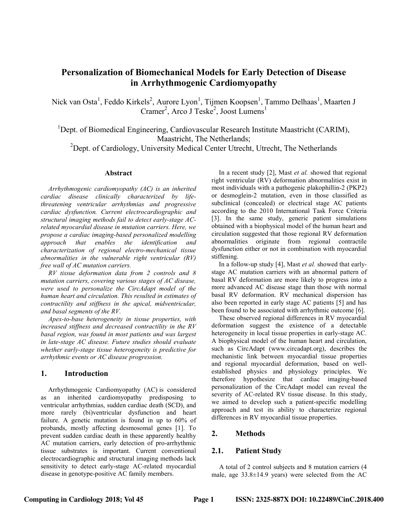# Personalization of Biomechanical Models for Early Detection of Disease in Arrhythmogenic Cardiomyopathy

Nick van Osta<sup>1</sup>, Feddo Kirkels<sup>2</sup>, Aurore Lyon<sup>1</sup>, Tijmen Koopsen<sup>1</sup>, Tammo Delhaas<sup>1</sup>, Maarten J Cramer<sup>2</sup>, Arco J Teske<sup>2</sup>, Joost Lumens<sup>1</sup>

 $1$ Dept. of Biomedical Engineering, Cardiovascular Research Institute Maastricht (CARIM), Maastricht, The Netherlands;

<sup>2</sup>Dept. of Cardiology, University Medical Center Utrecht, Utrecht, The Netherlands

### Abstract

Arrhythmogenic cardiomyopathy (AC) is an inherited cardiac disease clinically characterized by lifethreatening ventricular arrhythmias and progressive cardiac dysfunction. Current electrocardiographic and structural imaging methods fail to detect early-stage ACrelated myocardial disease in mutation carriers. Here, we propose a cardiac imaging-based personalized modelling approach that enables the identification and characterization of regional electro-mechanical tissue abnormalities in the vulnerable right ventricular (RV) free wall of AC mutation carriers.

RV tissue deformation data from 2 controls and 8 mutation carriers, covering various stages of AC disease, were used to personalize the CircAdapt model of the human heart and circulation. This resulted in estimates of contractility and stiffness in the apical, midventricular, and basal segments of the RV.

Apex-to-base heterogeneity in tissue properties, with increased stiffness and decreased contractility in the RV basal region, was found in most patients and was largest in late-stage AC disease. Future studies should evaluate whether early-stage tissue heterogeneity is predictive for arrhythmic events or AC disease progression.

## 1. Introduction

Arrhythmogenic Cardiomyopathy (AC) is considered as an inherited cardiomyopathy predisposing to ventricular arrhythmias, sudden cardiac death (SCD), and more rarely (bi)ventricular dysfunction and heart failure. A genetic mutation is found in up to 60% of probands, mostly affecting desmosomal genes [1]. To prevent sudden cardiac death in these apparently healthy AC mutation carriers, early detection of pro-arrhythmic tissue substrates is important. Current conventional electrocardiographic and structural imaging methods lack sensitivity to detect early-stage AC-related myocardial disease in genotype-positive AC family members.

In a recent study [2], Mast et al. showed that regional right ventricular (RV) deformation abnormalities exist in most individuals with a pathogenic plakophillin-2 (PKP2) or desmoglein-2 mutation, even in those classified as subclinical (concealed) or electrical stage AC patients according to the 2010 International Task Force Criteria [3]. In the same study, generic patient simulations obtained with a biophysical model of the human heart and circulation suggested that those regional RV deformation abnormalities originate from regional contractile dysfunction either or not in combination with myocardial stiffening.

In a follow-up study [4], Mast et al. showed that earlystage AC mutation carriers with an abnormal pattern of basal RV deformation are more likely to progress into a more advanced AC disease stage than those with normal basal RV deformation. RV mechanical dispersion has also been reported in early stage AC patients [5] and has been found to be associated with arrhythmic outcome [6].

These observed regional differences in RV myocardial deformation suggest the existence of a detectable heterogeneity in local tissue properties in early-stage AC. A biophysical model of the human heart and circulation, such as CircAdapt (www.circadapt.org), describes the mechanistic link between myocardial tissue properties and regional myocardial deformation, based on wellestablished physics and physiology principles. We therefore hypothesize that cardiac imaging-based personalization of the CircAdapt model can reveal the severity of AC-related RV tissue disease. In this study, we aimed to develop such a patient-specific modelling approach and test its ability to characterize regional differences in RV myocardial tissue properties.

## 2. Methods

## 2.1. Patient Study

A total of 2 control subjects and 8 mutation carriers (4 male, age 33.8±14.9 years) were selected from the AC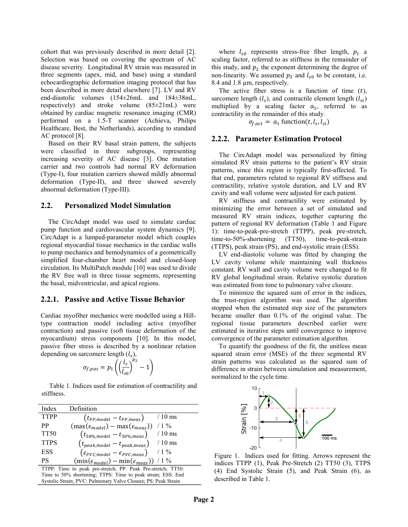cohort that was previously described in more detail [2]. Selection was based on covering the spectrum of AC disease severity. Longitudinal RV strain was measured in three segments (apex, mid, and base) using a standard echocardiographic deformation imaging protocol that has been described in more detail elsewhere [7]. LV and RV end-diastolic volumes (154±26mL and 184±38mL, respectively) and stroke volume (85±21mL) were obtained by cardiac magnetic resonance imaging (CMR) performed on a 1.5-T scanner (Achieva, Philips Healthcare, Best, the Netherlands), according to standard AC protocol [8].

Based on their RV basal strain pattern, the subjects were classified in three subgroups, representing increasing severity of AC disease [3]. One mutation carrier and two controls had normal RV deformation (Type-I), four mutation carriers showed mildly abnormal deformation (Type-II), and three showed severely abnormal deformation (Type-III).

### 2.2. Personalized Model Simulation

The CircAdapt model was used to simulate cardiac pump function and cardiovascular system dynamics [9]. CircAdapt is a lumped-parameter model which couples regional myocardial tissue mechanics in the cardiac walls to pump mechanics and hemodynamics of a geometrically simplified four-chamber heart model and closed-loop circulation. Its MultiPatch module [10] was used to divide the RV free wall in three tissue segments, representing the basal, midventricular, and apical regions.

#### 2.2.1. Passive and Active Tissue Behavior

Cardiac myofiber mechanics were modelled using a Hilltype contraction model including active (myofiber contraction) and passive (soft tissue deformation of the myocardium) stress components [10]. In this model, passive fiber stress is described by a nonlinear relation depending on sarcomere length  $(l_s)$ ,

$$
\sigma_{f, pas} = p_1 \left( \left( \frac{l_s}{l_{s0}} \right)^{p_2} - 1 \right)
$$

Table 1. Indices used for estimation of contractility and stiffness.

| Index                                                       | Definition                                                   |
|-------------------------------------------------------------|--------------------------------------------------------------|
| <b>TTPP</b>                                                 | $/10$ ms<br>$(t_{PP,model} - t_{PP,meas})$                   |
| PP                                                          | $/1\%$<br>$(\max(\epsilon_{model}) - \max(\epsilon_{meas}))$ |
| <b>TT50</b>                                                 | $(t_{50\%, model} - t_{50\%, meas})$<br>$/10$ ms             |
| <b>TTPS</b>                                                 | $/10$ ms<br>$(t_{peak,model} - t_{peak,meas})$               |
| <b>ESS</b>                                                  | $/1\%$<br>$(\epsilon_{PVC,model} - \epsilon_{PVC,meas})$     |
| <b>PS</b>                                                   | $(\min(\epsilon_{model}) - \min(\epsilon_{meas}))$ / 1 %     |
| TTPP: Time to peak pre-stretch; PP: Peak Pre-stretch; TT50: |                                                              |
| Time to 50% shortening; TTPS: Time to peak strain; ESS: End |                                                              |

Systolic Strain; PVC: Pulmonary Valve Closure; PS: Peak Strain

where  $l_{s0}$  represents stress-free fiber length,  $p_1$  a scaling factor, referred to as stiffness in the remainder of this study, and  $p_2$  the exponent determining the degree of non-linearity. We assumed  $p_2$  and  $l_{s0}$  to be constant, i.e. 8.4 and 1.8 µm, respectively.

The active fiber stress is a function of time  $(t)$ , sarcomere length  $(l_s)$ , and contractile element length  $(l_{si})$ multiplied by a scaling factor  $a_1$ , referred to as contractility in the remainder of this study.

 $\sigma_{f,act} = a_1$  function(*t*, *l<sub>s</sub>*, *l<sub>si</sub>*)

## 2.2.2. Parameter Estimation Protocol

The CircAdapt model was personalized by fitting simulated RV strain patterns to the patient's RV strain patterns, since this region is typically first-affected. To that end, parameters related to regional RV stiffness and contractility, relative systole duration, and LV and RV cavity and wall volume were adjusted for each patient.

RV stiffness and contractility were estimated by minimizing the error between a set of simulated and measured RV strain indices, together capturing the pattern of regional RV deformation (Table 1 and Figure 1): time-to-peak-pre-stretch (TTPP), peak pre-stretch, time-to-50%-shortening (TT50), time-to-peak-strain (TTPS), peak strain (PS), and end-systolic strain (ESS).

LV end-diastolic volume was fitted by changing the LV cavity volume while maintaining wall thickness constant. RV wall and cavity volume were changed to fit RV global longitudinal strain. Relative systolic duration was estimated from time to pulmonary valve closure.

To minimize the squared sum of error in the indices, the trust-region algorithm was used. The algorithm stopped when the estimated step size of the parameters became smaller than 0.1% of the original value. The regional tissue parameters described earlier were estimated in iterative steps until convergence to improve convergence of the parameter estimation algorithm.

To quantify the goodness of the fit, the unitless mean squared strain error (MSE) of the three segmental RV strain patterns was calculated as the squared sum of difference in strain between simulation and measurement, normalized to the cycle time.



Figure 1. Indices used for fitting. Arrows represent the indices TTPP (1), Peak Pre-Stretch (2) TT50 (3), TTPS (4) End Systolic Strain (5), and Peak Strain (6), as described in Table 1.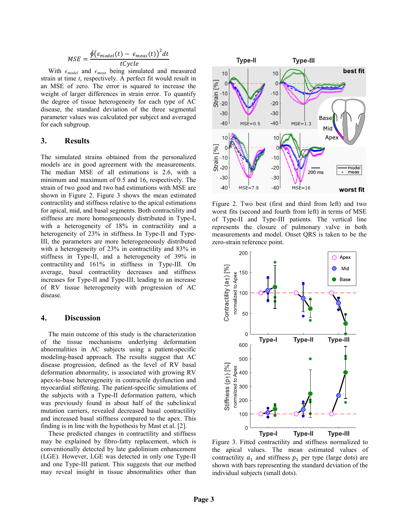$$
MSE = \frac{\oint (\epsilon_{model}(t) - \epsilon_{meas}(t))^2 dt}{tCycle}
$$

With  $\epsilon_{model}$  and  $\epsilon_{meas}$  being simulated and measured strain at time *t*, respectively. A perfect fit would result in an MSE of zero. The error is squared to increase the weight of larger differences in strain error. To quantify the degree of tissue heterogeneity for each type of AC disease, the standard deviation of the three segmental parameter values was calculated per subject and averaged for each subgroup.

#### 3. Results

The simulated strains obtained from the personalized models are in good agreement with the measurements. The median MSE of all estimations is 2.6, with a minimum and maximum of 0.5 and 16, respectively. The strain of two good and two bad estimations with MSE are shown in Figure 2. Figure 3 shows the mean estimated contractility and stiffness relative to the apical estimations for apical, mid, and basal segments. Both contractility and stiffness are more homogeneously distributed in Type-I, with a heterogeneity of 18% in contractility and a heterogeneity of 23% in stiffness. In Type-II and Type-III, the parameters are more heterogeneously distributed with a heterogeneity of 23% in contractility and 83% in stiffness in Type-II, and a heterogeneity of 39% in contractility and 161% in stiffness in Type-III. On average, basal contractility decreases and stiffness increases for Type-II and Type-III, leading to an increase of RV tissue heterogeneity with progression of AC disease.

### 4. Discussion

The main outcome of this study is the characterization of the tissue mechanisms underlying deformation abnormalities in AC subjects using a patient-specific modeling-based approach. The results suggest that AC disease progression, defined as the level of RV basal deformation abnormality, is associated with growing RV apex-to-base heterogeneity in contractile dysfunction and myocardial stiffening. The patient-specific simulations of the subjects with a Type-II deformation pattern, which was previously found in about half of the subclinical mutation carriers, revealed decreased basal contractility and increased basal stiffness compared to the apex. This finding is in line with the hypothesis by Mast et al. [2].

These predicted changes in contractility and stiffness may be explained by fibro-fatty replacement, which is conventionally detected by late gadolinium enhancement (LGE). However, LGE was detected in only one Type-II and one Type-III patient. This suggests that our method may reveal insight in tissue abnormalities other than



Figure 2. Two best (first and third from left) and two worst fits (second and fourth from left) in terms of MSE of Type-II and Type-III patients. The vertical line represents the closure of pulmonary valve in both measurements and model. Onset QRS is taken to be the zero-strain reference point.



Figure 3. Fitted contractility and stiffness normalized to the apical values. The mean estimated values of contractility  $a_1$  and stiffness  $p_1$  per type (large dots) are shown with bars representing the standard deviation of the individual subjects (small dots).